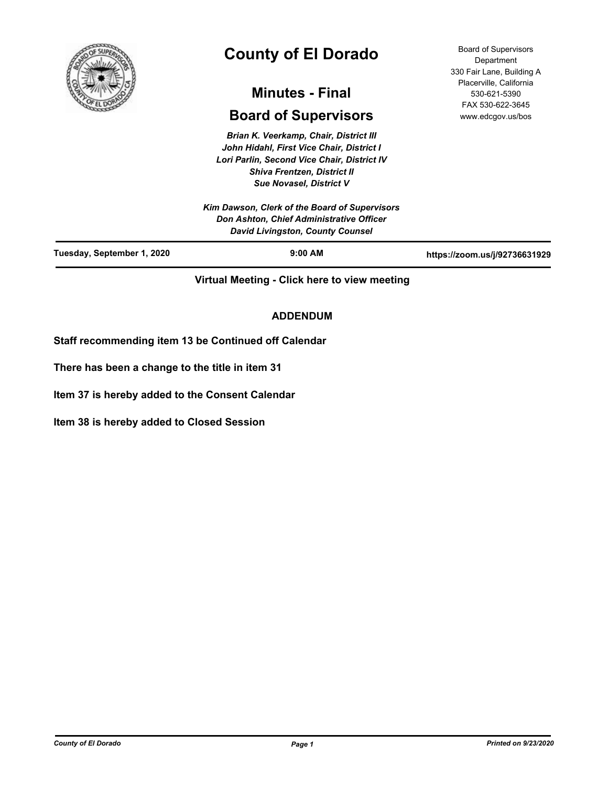

# **County of El Dorado**

## **Minutes - Final**

## **Board of Supervisors**

*Brian K. Veerkamp, Chair, District III John Hidahl, First Vice Chair, District I Lori Parlin, Second Vice Chair, District IV Shiva Frentzen, District II Sue Novasel, District V*

Board of Supervisors **Department** 330 Fair Lane, Building A Placerville, California 530-621-5390 FAX 530-622-3645 www.edcgov.us/bos

| Kim Dawson, Clerk of the Board of Supervisors<br>Don Ashton, Chief Administrative Officer<br><b>David Livingston, County Counsel</b> |           |                               |
|--------------------------------------------------------------------------------------------------------------------------------------|-----------|-------------------------------|
| Tuesday, September 1, 2020                                                                                                           | $9:00$ AM | https://zoom.us/j/92736631929 |

**Virtual Meeting - Click here to view meeting**

## **ADDENDUM**

**Staff recommending item 13 be Continued off Calendar**

**There has been a change to the title in item 31**

**Item 37 is hereby added to the Consent Calendar**

**Item 38 is hereby added to Closed Session**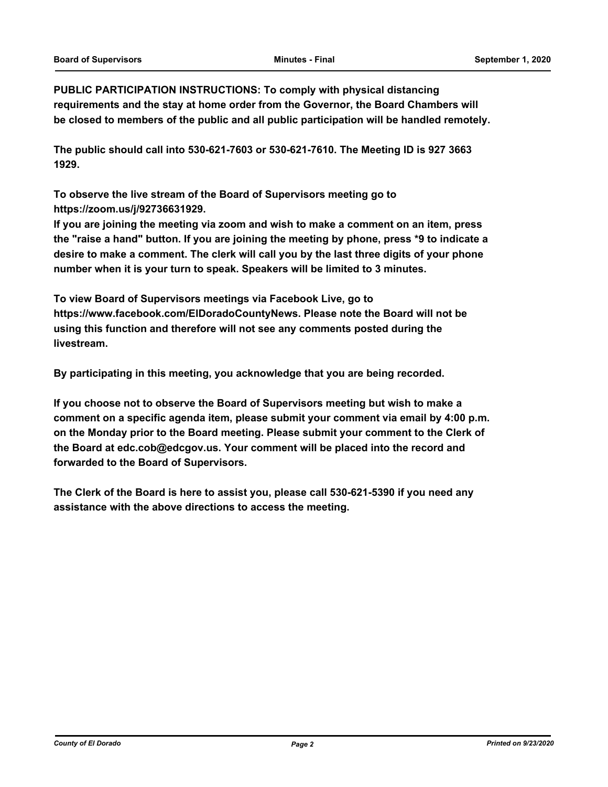**PUBLIC PARTICIPATION INSTRUCTIONS: To comply with physical distancing requirements and the stay at home order from the Governor, the Board Chambers will be closed to members of the public and all public participation will be handled remotely.** 

**The public should call into 530-621-7603 or 530-621-7610. The Meeting ID is 927 3663 1929.** 

**To observe the live stream of the Board of Supervisors meeting go to https://zoom.us/j/92736631929.** 

**If you are joining the meeting via zoom and wish to make a comment on an item, press the "raise a hand" button. If you are joining the meeting by phone, press \*9 to indicate a desire to make a comment. The clerk will call you by the last three digits of your phone number when it is your turn to speak. Speakers will be limited to 3 minutes.** 

**To view Board of Supervisors meetings via Facebook Live, go to https://www.facebook.com/ElDoradoCountyNews. Please note the Board will not be using this function and therefore will not see any comments posted during the livestream.** 

**By participating in this meeting, you acknowledge that you are being recorded.**

**If you choose not to observe the Board of Supervisors meeting but wish to make a comment on a specific agenda item, please submit your comment via email by 4:00 p.m. on the Monday prior to the Board meeting. Please submit your comment to the Clerk of the Board at edc.cob@edcgov.us. Your comment will be placed into the record and forwarded to the Board of Supervisors.** 

**The Clerk of the Board is here to assist you, please call 530-621-5390 if you need any assistance with the above directions to access the meeting.**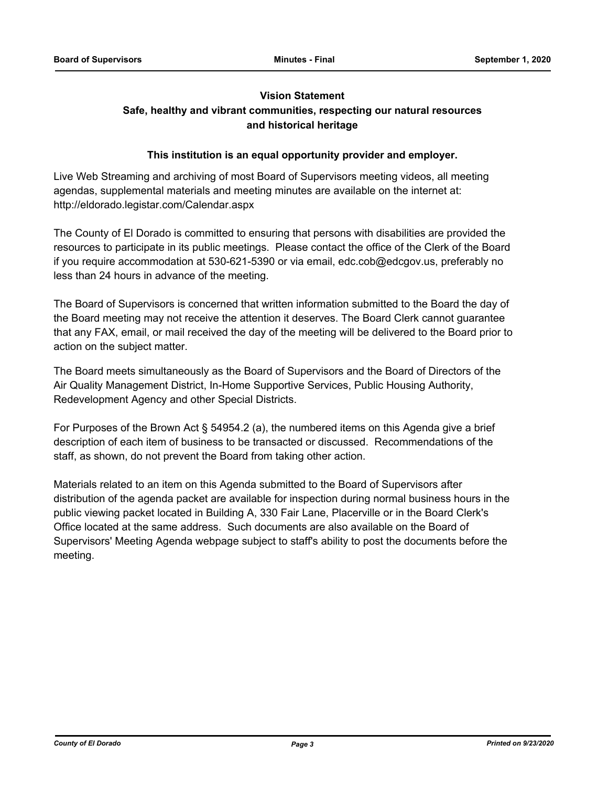## **Vision Statement**

## **Safe, healthy and vibrant communities, respecting our natural resources and historical heritage**

## **This institution is an equal opportunity provider and employer.**

Live Web Streaming and archiving of most Board of Supervisors meeting videos, all meeting agendas, supplemental materials and meeting minutes are available on the internet at: http://eldorado.legistar.com/Calendar.aspx

The County of El Dorado is committed to ensuring that persons with disabilities are provided the resources to participate in its public meetings. Please contact the office of the Clerk of the Board if you require accommodation at 530-621-5390 or via email, edc.cob@edcgov.us, preferably no less than 24 hours in advance of the meeting.

The Board of Supervisors is concerned that written information submitted to the Board the day of the Board meeting may not receive the attention it deserves. The Board Clerk cannot guarantee that any FAX, email, or mail received the day of the meeting will be delivered to the Board prior to action on the subject matter.

The Board meets simultaneously as the Board of Supervisors and the Board of Directors of the Air Quality Management District, In-Home Supportive Services, Public Housing Authority, Redevelopment Agency and other Special Districts.

For Purposes of the Brown Act § 54954.2 (a), the numbered items on this Agenda give a brief description of each item of business to be transacted or discussed. Recommendations of the staff, as shown, do not prevent the Board from taking other action.

Materials related to an item on this Agenda submitted to the Board of Supervisors after distribution of the agenda packet are available for inspection during normal business hours in the public viewing packet located in Building A, 330 Fair Lane, Placerville or in the Board Clerk's Office located at the same address. Such documents are also available on the Board of Supervisors' Meeting Agenda webpage subject to staff's ability to post the documents before the meeting.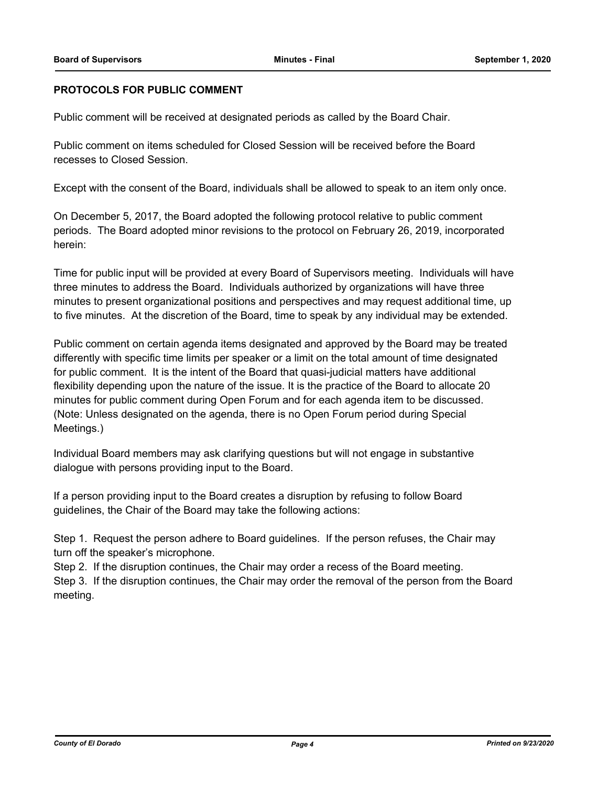#### **PROTOCOLS FOR PUBLIC COMMENT**

Public comment will be received at designated periods as called by the Board Chair.

Public comment on items scheduled for Closed Session will be received before the Board recesses to Closed Session.

Except with the consent of the Board, individuals shall be allowed to speak to an item only once.

On December 5, 2017, the Board adopted the following protocol relative to public comment periods. The Board adopted minor revisions to the protocol on February 26, 2019, incorporated herein:

Time for public input will be provided at every Board of Supervisors meeting. Individuals will have three minutes to address the Board. Individuals authorized by organizations will have three minutes to present organizational positions and perspectives and may request additional time, up to five minutes. At the discretion of the Board, time to speak by any individual may be extended.

Public comment on certain agenda items designated and approved by the Board may be treated differently with specific time limits per speaker or a limit on the total amount of time designated for public comment. It is the intent of the Board that quasi-judicial matters have additional flexibility depending upon the nature of the issue. It is the practice of the Board to allocate 20 minutes for public comment during Open Forum and for each agenda item to be discussed. (Note: Unless designated on the agenda, there is no Open Forum period during Special Meetings.)

Individual Board members may ask clarifying questions but will not engage in substantive dialogue with persons providing input to the Board.

If a person providing input to the Board creates a disruption by refusing to follow Board guidelines, the Chair of the Board may take the following actions:

Step 1. Request the person adhere to Board guidelines. If the person refuses, the Chair may turn off the speaker's microphone.

Step 2. If the disruption continues, the Chair may order a recess of the Board meeting.

Step 3. If the disruption continues, the Chair may order the removal of the person from the Board meeting.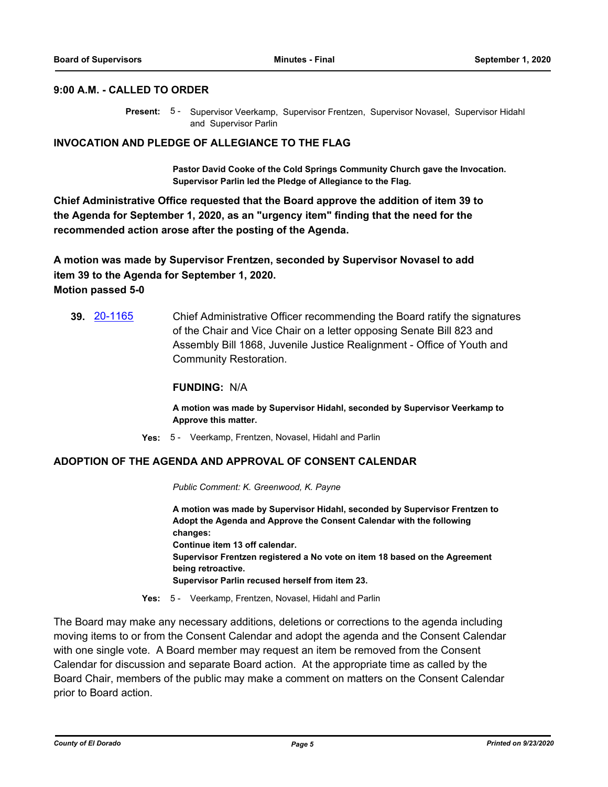#### **9:00 A.M. - CALLED TO ORDER**

Present: 5 - Supervisor Veerkamp, Supervisor Frentzen, Supervisor Novasel, Supervisor Hidahl and Supervisor Parlin

#### **INVOCATION AND PLEDGE OF ALLEGIANCE TO THE FLAG**

**Pastor David Cooke of the Cold Springs Community Church gave the Invocation. Supervisor Parlin led the Pledge of Allegiance to the Flag.**

**Chief Administrative Office requested that the Board approve the addition of item 39 to the Agenda for September 1, 2020, as an "urgency item" finding that the need for the recommended action arose after the posting of the Agenda.**

**A motion was made by Supervisor Frentzen, seconded by Supervisor Novasel to add item 39 to the Agenda for September 1, 2020. Motion passed 5-0**

**39.** [20-1165](http://eldorado.legistar.com/gateway.aspx?m=l&id=/matter.aspx?key=28373) Chief Administrative Officer recommending the Board ratify the signatures of the Chair and Vice Chair on a letter opposing Senate Bill 823 and Assembly Bill 1868, Juvenile Justice Realignment - Office of Youth and Community Restoration.

#### **FUNDING:** N/A

**A motion was made by Supervisor Hidahl, seconded by Supervisor Veerkamp to Approve this matter.**

**Yes:** 5 - Veerkamp, Frentzen, Novasel, Hidahl and Parlin

#### **ADOPTION OF THE AGENDA AND APPROVAL OF CONSENT CALENDAR**

*Public Comment: K. Greenwood, K. Payne*

**A motion was made by Supervisor Hidahl, seconded by Supervisor Frentzen to Adopt the Agenda and Approve the Consent Calendar with the following changes: Continue item 13 off calendar. Supervisor Frentzen registered a No vote on item 18 based on the Agreement being retroactive. Supervisor Parlin recused herself from item 23.**

**Yes:** 5 - Veerkamp, Frentzen, Novasel, Hidahl and Parlin

The Board may make any necessary additions, deletions or corrections to the agenda including moving items to or from the Consent Calendar and adopt the agenda and the Consent Calendar with one single vote. A Board member may request an item be removed from the Consent Calendar for discussion and separate Board action. At the appropriate time as called by the Board Chair, members of the public may make a comment on matters on the Consent Calendar prior to Board action.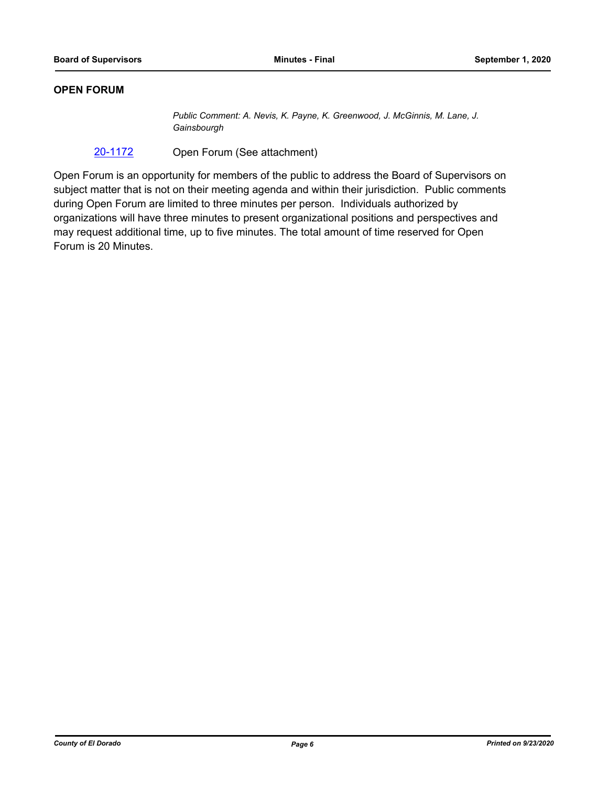#### **OPEN FORUM**

*Public Comment: A. Nevis, K. Payne, K. Greenwood, J. McGinnis, M. Lane, J. Gainsbourgh*

[20-1172](http://eldorado.legistar.com/gateway.aspx?m=l&id=/matter.aspx?key=28380) Open Forum (See attachment)

Open Forum is an opportunity for members of the public to address the Board of Supervisors on subject matter that is not on their meeting agenda and within their jurisdiction. Public comments during Open Forum are limited to three minutes per person. Individuals authorized by organizations will have three minutes to present organizational positions and perspectives and may request additional time, up to five minutes. The total amount of time reserved for Open Forum is 20 Minutes.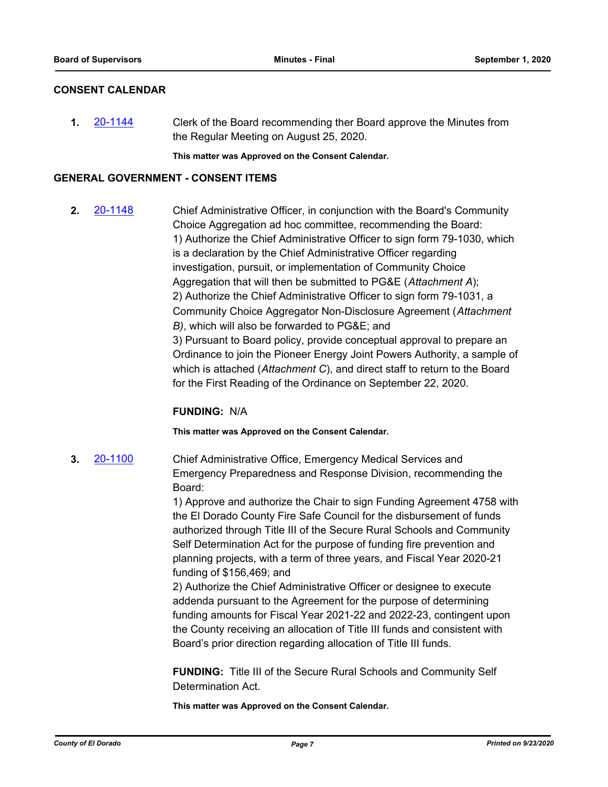#### **CONSENT CALENDAR**

**1.** [20-1144](http://eldorado.legistar.com/gateway.aspx?m=l&id=/matter.aspx?key=28352) Clerk of the Board recommending ther Board approve the Minutes from the Regular Meeting on August 25, 2020.

**This matter was Approved on the Consent Calendar.**

#### **GENERAL GOVERNMENT - CONSENT ITEMS**

**2.** [20-1148](http://eldorado.legistar.com/gateway.aspx?m=l&id=/matter.aspx?key=28356) Chief Administrative Officer, in conjunction with the Board's Community Choice Aggregation ad hoc committee, recommending the Board: 1) Authorize the Chief Administrative Officer to sign form 79-1030, which is a declaration by the Chief Administrative Officer regarding investigation, pursuit, or implementation of Community Choice Aggregation that will then be submitted to PG&E (*Attachment A*); 2) Authorize the Chief Administrative Officer to sign form 79-1031, a Community Choice Aggregator Non-Disclosure Agreement (*Attachment B)*, which will also be forwarded to PG&E; and 3) Pursuant to Board policy, provide conceptual approval to prepare an Ordinance to join the Pioneer Energy Joint Powers Authority, a sample of which is attached (*Attachment C*), and direct staff to return to the Board for the First Reading of the Ordinance on September 22, 2020.

#### **FUNDING:** N/A

#### **This matter was Approved on the Consent Calendar.**

**3.** [20-1100](http://eldorado.legistar.com/gateway.aspx?m=l&id=/matter.aspx?key=28308) Chief Administrative Office, Emergency Medical Services and Emergency Preparedness and Response Division, recommending the Board:

> 1) Approve and authorize the Chair to sign Funding Agreement 4758 with the El Dorado County Fire Safe Council for the disbursement of funds authorized through Title III of the Secure Rural Schools and Community Self Determination Act for the purpose of funding fire prevention and planning projects, with a term of three years, and Fiscal Year 2020-21 funding of \$156,469; and

2) Authorize the Chief Administrative Officer or designee to execute addenda pursuant to the Agreement for the purpose of determining funding amounts for Fiscal Year 2021-22 and 2022-23, contingent upon the County receiving an allocation of Title III funds and consistent with Board's prior direction regarding allocation of Title III funds.

**FUNDING:** Title III of the Secure Rural Schools and Community Self Determination Act.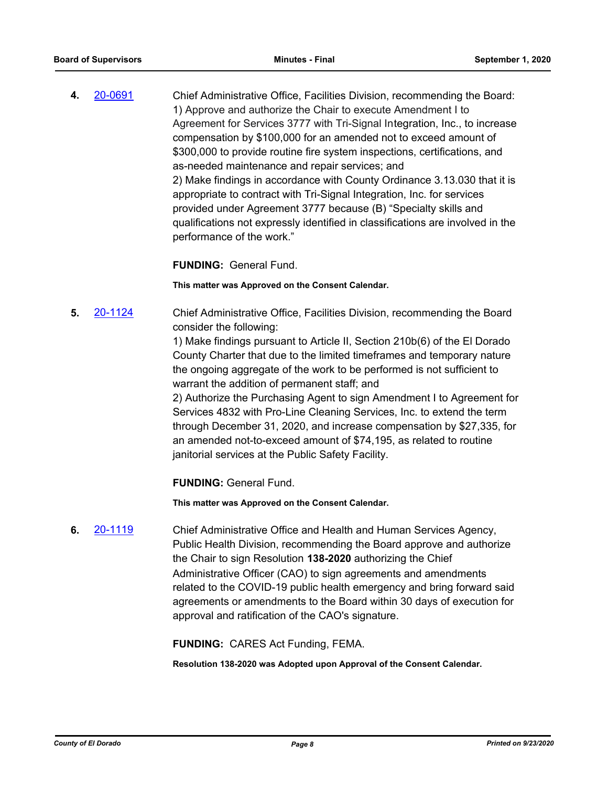**4.** [20-0691](http://eldorado.legistar.com/gateway.aspx?m=l&id=/matter.aspx?key=27897) Chief Administrative Office, Facilities Division, recommending the Board: 1) Approve and authorize the Chair to execute Amendment I to Agreement for Services 3777 with Tri-Signal Integration, Inc., to increase compensation by \$100,000 for an amended not to exceed amount of \$300,000 to provide routine fire system inspections, certifications, and as-needed maintenance and repair services; and 2) Make findings in accordance with County Ordinance 3.13.030 that it is appropriate to contract with Tri-Signal Integration, Inc. for services provided under Agreement 3777 because (B) "Specialty skills and qualifications not expressly identified in classifications are involved in the performance of the work."

**FUNDING:** General Fund.

**This matter was Approved on the Consent Calendar.**

**5.** [20-1124](http://eldorado.legistar.com/gateway.aspx?m=l&id=/matter.aspx?key=28332) Chief Administrative Office, Facilities Division, recommending the Board consider the following:

> 1) Make findings pursuant to Article II, Section 210b(6) of the El Dorado County Charter that due to the limited timeframes and temporary nature the ongoing aggregate of the work to be performed is not sufficient to warrant the addition of permanent staff; and

2) Authorize the Purchasing Agent to sign Amendment I to Agreement for Services 4832 with Pro-Line Cleaning Services, Inc. to extend the term through December 31, 2020, and increase compensation by \$27,335, for an amended not-to-exceed amount of \$74,195, as related to routine janitorial services at the Public Safety Facility.

**FUNDING:** General Fund.

**This matter was Approved on the Consent Calendar.**

**6.** [20-1119](http://eldorado.legistar.com/gateway.aspx?m=l&id=/matter.aspx?key=28327) Chief Administrative Office and Health and Human Services Agency, Public Health Division, recommending the Board approve and authorize the Chair to sign Resolution **138-2020** authorizing the Chief Administrative Officer (CAO) to sign agreements and amendments related to the COVID-19 public health emergency and bring forward said agreements or amendments to the Board within 30 days of execution for approval and ratification of the CAO's signature.

**FUNDING:** CARES Act Funding, FEMA.

**Resolution 138-2020 was Adopted upon Approval of the Consent Calendar.**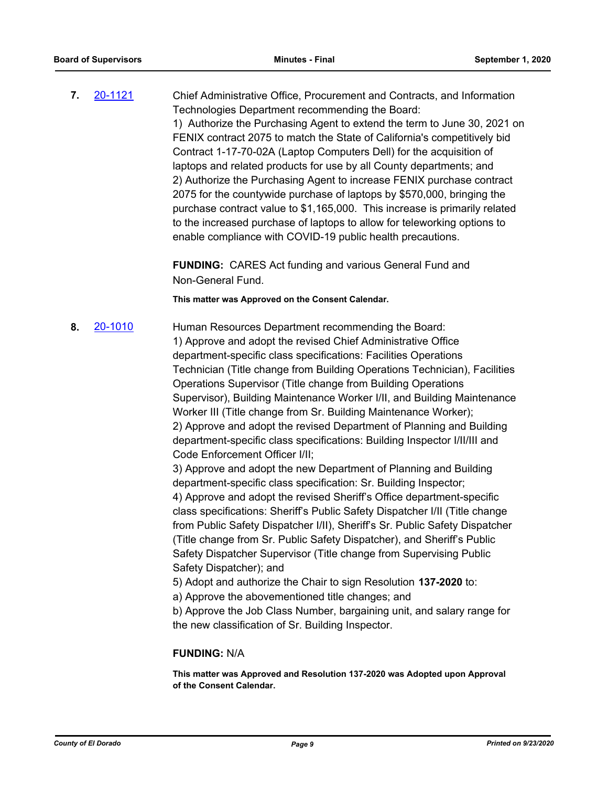**7.** [20-1121](http://eldorado.legistar.com/gateway.aspx?m=l&id=/matter.aspx?key=28329) Chief Administrative Office, Procurement and Contracts, and Information Technologies Department recommending the Board: 1) Authorize the Purchasing Agent to extend the term to June 30, 2021 on FENIX contract 2075 to match the State of California's competitively bid Contract 1-17-70-02A (Laptop Computers Dell) for the acquisition of laptops and related products for use by all County departments; and 2) Authorize the Purchasing Agent to increase FENIX purchase contract 2075 for the countywide purchase of laptops by \$570,000, bringing the purchase contract value to \$1,165,000. This increase is primarily related to the increased purchase of laptops to allow for teleworking options to enable compliance with COVID-19 public health precautions.

> **FUNDING:** CARES Act funding and various General Fund and Non-General Fund.

**This matter was Approved on the Consent Calendar.**

**8.** [20-1010](http://eldorado.legistar.com/gateway.aspx?m=l&id=/matter.aspx?key=28217) Human Resources Department recommending the Board: 1) Approve and adopt the revised Chief Administrative Office department-specific class specifications: Facilities Operations Technician (Title change from Building Operations Technician), Facilities Operations Supervisor (Title change from Building Operations Supervisor), Building Maintenance Worker I/II, and Building Maintenance Worker III (Title change from Sr. Building Maintenance Worker); 2) Approve and adopt the revised Department of Planning and Building department-specific class specifications: Building Inspector I/II/III and Code Enforcement Officer I/II;

3) Approve and adopt the new Department of Planning and Building department-specific class specification: Sr. Building Inspector; 4) Approve and adopt the revised Sheriff's Office department-specific class specifications: Sheriff's Public Safety Dispatcher I/II (Title change from Public Safety Dispatcher I/II), Sheriff's Sr. Public Safety Dispatcher (Title change from Sr. Public Safety Dispatcher), and Sheriff's Public Safety Dispatcher Supervisor (Title change from Supervising Public Safety Dispatcher); and

5) Adopt and authorize the Chair to sign Resolution **137-2020** to:

a) Approve the abovementioned title changes; and

b) Approve the Job Class Number, bargaining unit, and salary range for the new classification of Sr. Building Inspector.

#### **FUNDING:** N/A

**This matter was Approved and Resolution 137-2020 was Adopted upon Approval of the Consent Calendar.**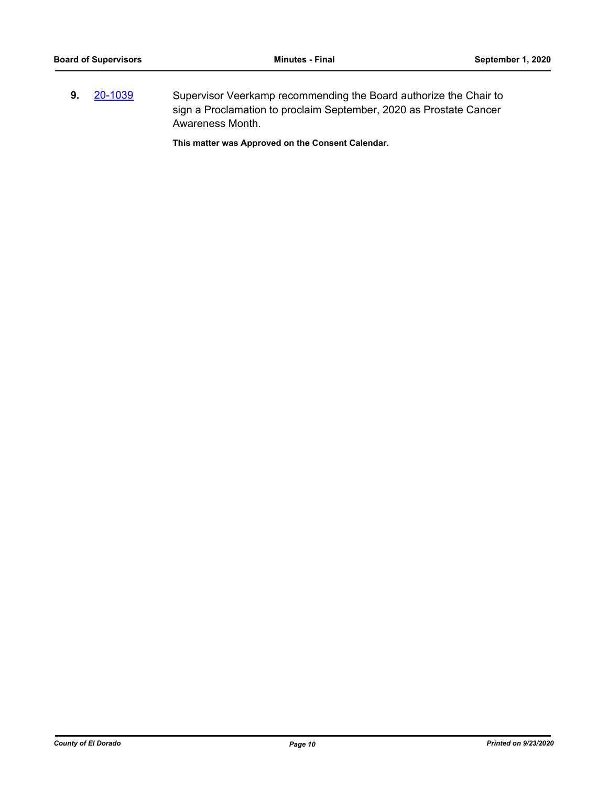**9.** [20-1039](http://eldorado.legistar.com/gateway.aspx?m=l&id=/matter.aspx?key=28247) Supervisor Veerkamp recommending the Board authorize the Chair to sign a Proclamation to proclaim September, 2020 as Prostate Cancer Awareness Month.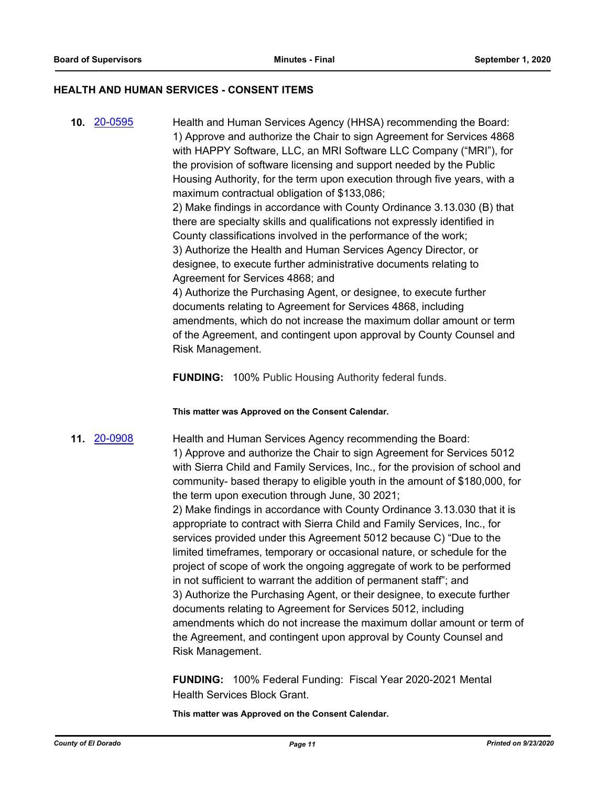#### **HEALTH AND HUMAN SERVICES - CONSENT ITEMS**

**10.** [20-0595](http://eldorado.legistar.com/gateway.aspx?m=l&id=/matter.aspx?key=27801) Health and Human Services Agency (HHSA) recommending the Board: 1) Approve and authorize the Chair to sign Agreement for Services 4868 with HAPPY Software, LLC, an MRI Software LLC Company ("MRI"), for the provision of software licensing and support needed by the Public Housing Authority, for the term upon execution through five years, with a maximum contractual obligation of \$133,086; 2) Make findings in accordance with County Ordinance 3.13.030 (B) that there are specialty skills and qualifications not expressly identified in County classifications involved in the performance of the work; 3) Authorize the Health and Human Services Agency Director, or designee, to execute further administrative documents relating to Agreement for Services 4868; and 4) Authorize the Purchasing Agent, or designee, to execute further documents relating to Agreement for Services 4868, including amendments, which do not increase the maximum dollar amount or term of the Agreement, and contingent upon approval by County Counsel and Risk Management.

**FUNDING:** 100% Public Housing Authority federal funds.

**This matter was Approved on the Consent Calendar.**

**11.** [20-0908](http://eldorado.legistar.com/gateway.aspx?m=l&id=/matter.aspx?key=28115) Health and Human Services Agency recommending the Board: 1) Approve and authorize the Chair to sign Agreement for Services 5012 with Sierra Child and Family Services, Inc., for the provision of school and community- based therapy to eligible youth in the amount of \$180,000, for the term upon execution through June, 30 2021;

2) Make findings in accordance with County Ordinance 3.13.030 that it is appropriate to contract with Sierra Child and Family Services, Inc., for services provided under this Agreement 5012 because C) "Due to the limited timeframes, temporary or occasional nature, or schedule for the project of scope of work the ongoing aggregate of work to be performed in not sufficient to warrant the addition of permanent staff"; and 3) Authorize the Purchasing Agent, or their designee, to execute further documents relating to Agreement for Services 5012, including amendments which do not increase the maximum dollar amount or term of the Agreement, and contingent upon approval by County Counsel and Risk Management.

**FUNDING:** 100% Federal Funding: Fiscal Year 2020-2021 Mental Health Services Block Grant.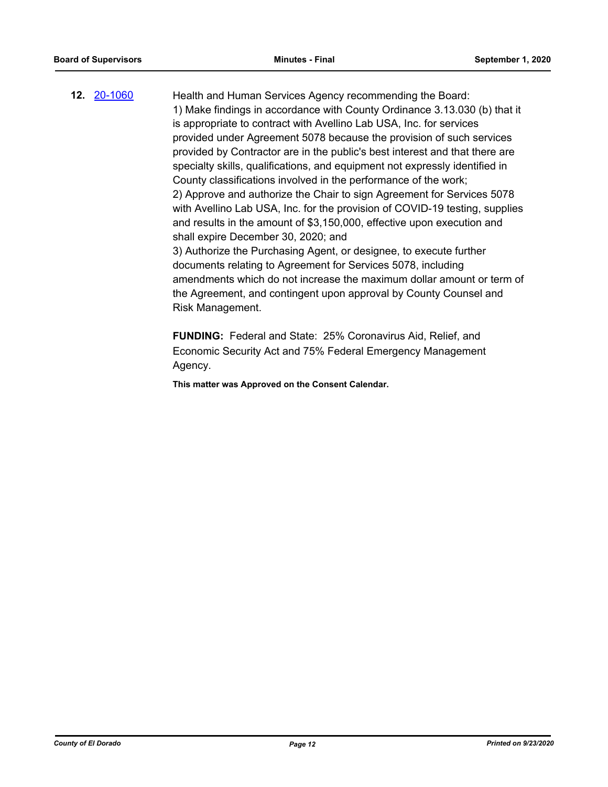**12.** [20-1060](http://eldorado.legistar.com/gateway.aspx?m=l&id=/matter.aspx?key=28268) Health and Human Services Agency recommending the Board: 1) Make findings in accordance with County Ordinance 3.13.030 (b) that it is appropriate to contract with Avellino Lab USA, Inc. for services provided under Agreement 5078 because the provision of such services provided by Contractor are in the public's best interest and that there are specialty skills, qualifications, and equipment not expressly identified in County classifications involved in the performance of the work; 2) Approve and authorize the Chair to sign Agreement for Services 5078 with Avellino Lab USA, Inc. for the provision of COVID-19 testing, supplies and results in the amount of \$3,150,000, effective upon execution and shall expire December 30, 2020; and 3) Authorize the Purchasing Agent, or designee, to execute further documents relating to Agreement for Services 5078, including amendments which do not increase the maximum dollar amount or term of the Agreement, and contingent upon approval by County Counsel and Risk Management.

> **FUNDING:** Federal and State: 25% Coronavirus Aid, Relief, and Economic Security Act and 75% Federal Emergency Management Agency.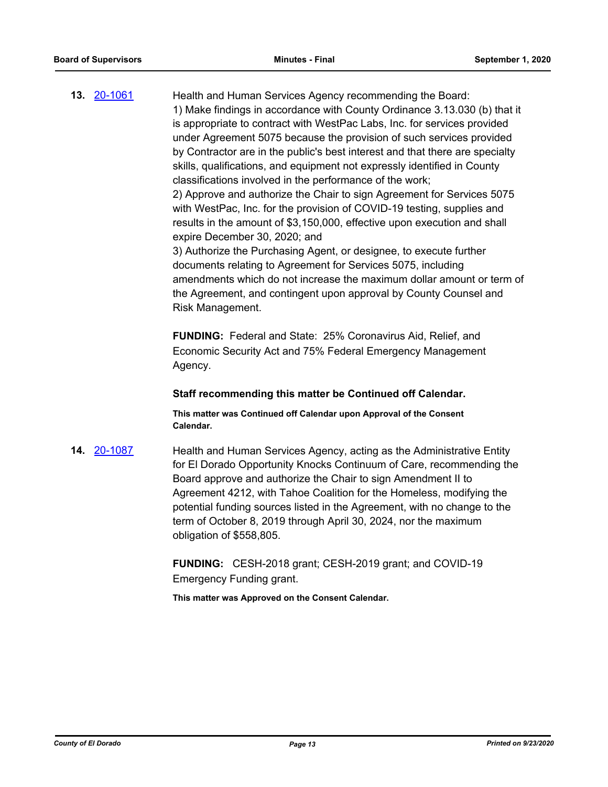**13. [20-1061](http://eldorado.legistar.com/gateway.aspx?m=l&id=/matter.aspx?key=28269)** Health and Human Services Agency recommending the Board: 1) Make findings in accordance with County Ordinance 3.13.030 (b) that it is appropriate to contract with WestPac Labs, Inc. for services provided under Agreement 5075 because the provision of such services provided by Contractor are in the public's best interest and that there are specialty skills, qualifications, and equipment not expressly identified in County classifications involved in the performance of the work; 2) Approve and authorize the Chair to sign Agreement for Services 5075 with WestPac, Inc. for the provision of COVID-19 testing, supplies and results in the amount of \$3,150,000, effective upon execution and shall expire December 30, 2020; and 3) Authorize the Purchasing Agent, or designee, to execute further documents relating to Agreement for Services 5075, including amendments which do not increase the maximum dollar amount or term of the Agreement, and contingent upon approval by County Counsel and Risk Management.

> **FUNDING:** Federal and State: 25% Coronavirus Aid, Relief, and Economic Security Act and 75% Federal Emergency Management Agency.

#### **Staff recommending this matter be Continued off Calendar.**

**This matter was Continued off Calendar upon Approval of the Consent Calendar.**

**14.** [20-1087](http://eldorado.legistar.com/gateway.aspx?m=l&id=/matter.aspx?key=28295) Health and Human Services Agency, acting as the Administrative Entity for El Dorado Opportunity Knocks Continuum of Care, recommending the Board approve and authorize the Chair to sign Amendment II to Agreement 4212, with Tahoe Coalition for the Homeless, modifying the potential funding sources listed in the Agreement, with no change to the term of October 8, 2019 through April 30, 2024, nor the maximum obligation of \$558,805.

> **FUNDING:** CESH-2018 grant; CESH-2019 grant; and COVID-19 Emergency Funding grant.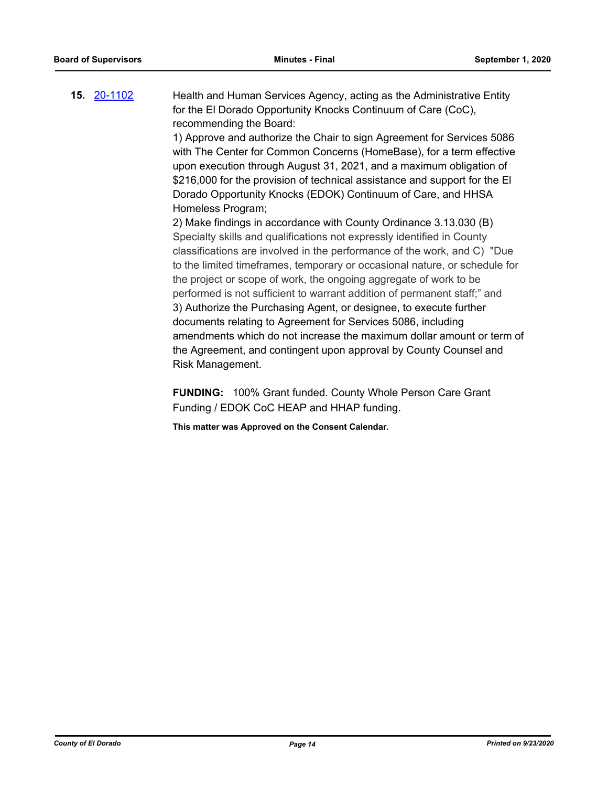**15.** [20-1102](http://eldorado.legistar.com/gateway.aspx?m=l&id=/matter.aspx?key=28310) Health and Human Services Agency, acting as the Administrative Entity for the El Dorado Opportunity Knocks Continuum of Care (CoC), recommending the Board:

> 1) Approve and authorize the Chair to sign Agreement for Services 5086 with The Center for Common Concerns (HomeBase), for a term effective upon execution through August 31, 2021, and a maximum obligation of \$216,000 for the provision of technical assistance and support for the El Dorado Opportunity Knocks (EDOK) Continuum of Care, and HHSA Homeless Program;

2) Make findings in accordance with County Ordinance 3.13.030 (B) Specialty skills and qualifications not expressly identified in County classifications are involved in the performance of the work, and C) "Due to the limited timeframes, temporary or occasional nature, or schedule for the project or scope of work, the ongoing aggregate of work to be performed is not sufficient to warrant addition of permanent staff;" and 3) Authorize the Purchasing Agent, or designee, to execute further documents relating to Agreement for Services 5086, including amendments which do not increase the maximum dollar amount or term of the Agreement, and contingent upon approval by County Counsel and Risk Management.

**FUNDING:** 100% Grant funded. County Whole Person Care Grant Funding / EDOK CoC HEAP and HHAP funding.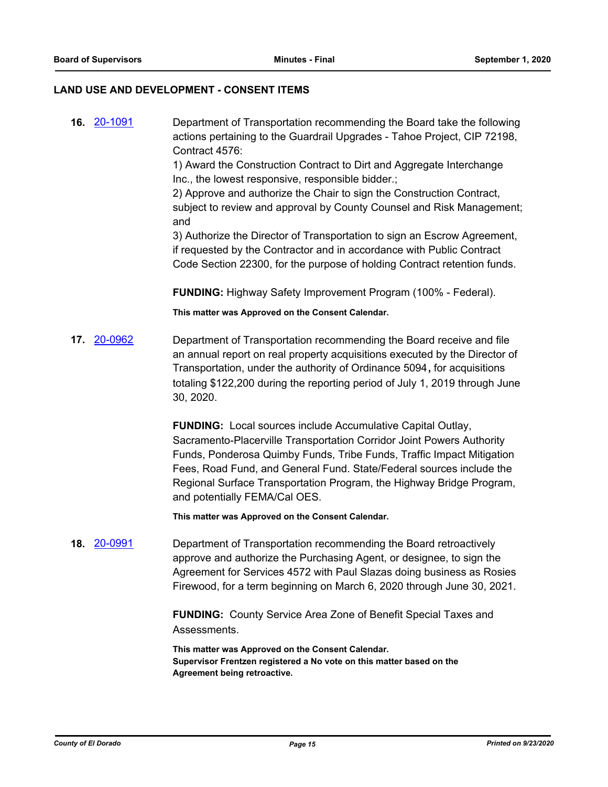#### **LAND USE AND DEVELOPMENT - CONSENT ITEMS**

**16.** [20-1091](http://eldorado.legistar.com/gateway.aspx?m=l&id=/matter.aspx?key=28299) Department of Transportation recommending the Board take the following actions pertaining to the Guardrail Upgrades - Tahoe Project, CIP 72198, Contract 4576:

> 1) Award the Construction Contract to Dirt and Aggregate Interchange Inc., the lowest responsive, responsible bidder.;

2) Approve and authorize the Chair to sign the Construction Contract, subject to review and approval by County Counsel and Risk Management; and

3) Authorize the Director of Transportation to sign an Escrow Agreement, if requested by the Contractor and in accordance with Public Contract Code Section 22300, for the purpose of holding Contract retention funds.

**FUNDING:** Highway Safety Improvement Program (100% - Federal).

**This matter was Approved on the Consent Calendar.**

**17.** [20-0962](http://eldorado.legistar.com/gateway.aspx?m=l&id=/matter.aspx?key=28169) Department of Transportation recommending the Board receive and file an annual report on real property acquisitions executed by the Director of Transportation, under the authority of Ordinance 5094**,** for acquisitions totaling \$122,200 during the reporting period of July 1, 2019 through June 30, 2020.

> **FUNDING:** Local sources include Accumulative Capital Outlay, Sacramento-Placerville Transportation Corridor Joint Powers Authority Funds, Ponderosa Quimby Funds, Tribe Funds, Traffic Impact Mitigation Fees, Road Fund, and General Fund. State/Federal sources include the Regional Surface Transportation Program, the Highway Bridge Program, and potentially FEMA/Cal OES.

**This matter was Approved on the Consent Calendar.**

**18.** [20-0991](http://eldorado.legistar.com/gateway.aspx?m=l&id=/matter.aspx?key=28198) Department of Transportation recommending the Board retroactively approve and authorize the Purchasing Agent, or designee, to sign the Agreement for Services 4572 with Paul Slazas doing business as Rosies Firewood, for a term beginning on March 6, 2020 through June 30, 2021.

> **FUNDING:** County Service Area Zone of Benefit Special Taxes and Assessments.

**This matter was Approved on the Consent Calendar. Supervisor Frentzen registered a No vote on this matter based on the Agreement being retroactive.**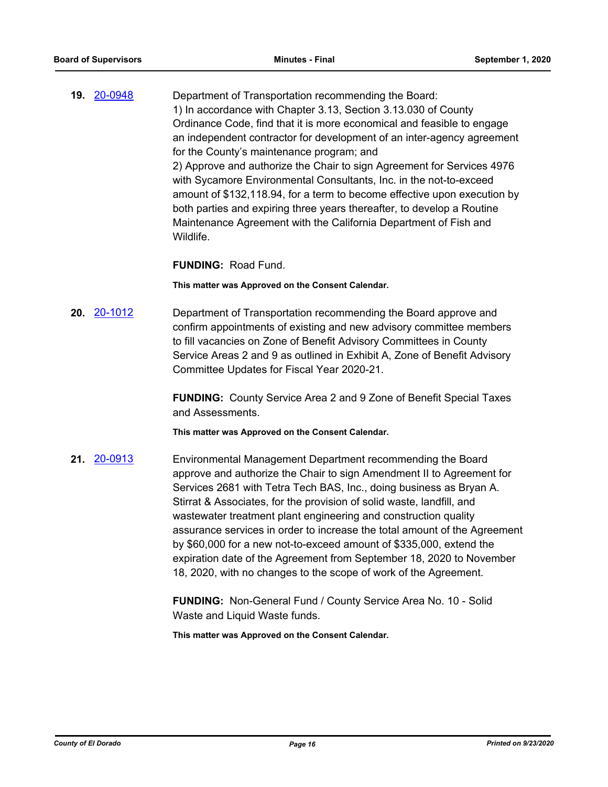**19.** [20-0948](http://eldorado.legistar.com/gateway.aspx?m=l&id=/matter.aspx?key=28155) Department of Transportation recommending the Board: 1) In accordance with Chapter 3.13, Section 3.13.030 of County Ordinance Code, find that it is more economical and feasible to engage an independent contractor for development of an inter-agency agreement for the County's maintenance program; and 2) Approve and authorize the Chair to sign Agreement for Services 4976 with Sycamore Environmental Consultants, Inc. in the not-to-exceed amount of \$132,118.94, for a term to become effective upon execution by both parties and expiring three years thereafter, to develop a Routine Maintenance Agreement with the California Department of Fish and Wildlife.

#### **FUNDING:** Road Fund.

**This matter was Approved on the Consent Calendar.**

**20.** [20-1012](http://eldorado.legistar.com/gateway.aspx?m=l&id=/matter.aspx?key=28219) Department of Transportation recommending the Board approve and confirm appointments of existing and new advisory committee members to fill vacancies on Zone of Benefit Advisory Committees in County Service Areas 2 and 9 as outlined in Exhibit A, Zone of Benefit Advisory Committee Updates for Fiscal Year 2020-21.

> **FUNDING:** County Service Area 2 and 9 Zone of Benefit Special Taxes and Assessments.

**This matter was Approved on the Consent Calendar.**

**21.** [20-0913](http://eldorado.legistar.com/gateway.aspx?m=l&id=/matter.aspx?key=28120) Environmental Management Department recommending the Board approve and authorize the Chair to sign Amendment II to Agreement for Services 2681 with Tetra Tech BAS, Inc., doing business as Bryan A. Stirrat & Associates, for the provision of solid waste, landfill, and wastewater treatment plant engineering and construction quality assurance services in order to increase the total amount of the Agreement by \$60,000 for a new not-to-exceed amount of \$335,000, extend the expiration date of the Agreement from September 18, 2020 to November 18, 2020, with no changes to the scope of work of the Agreement.

> **FUNDING:** Non-General Fund / County Service Area No. 10 - Solid Waste and Liquid Waste funds.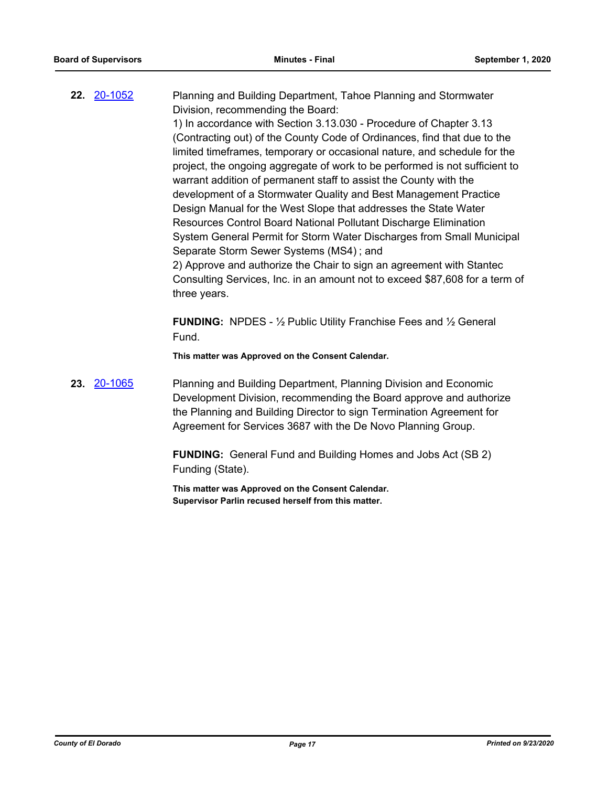**22.** [20-1052](http://eldorado.legistar.com/gateway.aspx?m=l&id=/matter.aspx?key=28260) Planning and Building Department, Tahoe Planning and Stormwater Division, recommending the Board: 1) In accordance with Section 3.13.030 - Procedure of Chapter 3.13 (Contracting out) of the County Code of Ordinances, find that due to the limited timeframes, temporary or occasional nature, and schedule for the project, the ongoing aggregate of work to be performed is not sufficient to warrant addition of permanent staff to assist the County with the development of a Stormwater Quality and Best Management Practice Design Manual for the West Slope that addresses the State Water Resources Control Board National Pollutant Discharge Elimination System General Permit for Storm Water Discharges from Small Municipal Separate Storm Sewer Systems (MS4) ; and 2) Approve and authorize the Chair to sign an agreement with Stantec Consulting Services, Inc. in an amount not to exceed \$87,608 for a term of three years. **FUNDING:** NPDES - ½ Public Utility Franchise Fees and ½ General

**This matter was Approved on the Consent Calendar.**

Fund.

**23.** [20-1065](http://eldorado.legistar.com/gateway.aspx?m=l&id=/matter.aspx?key=28273) Planning and Building Department, Planning Division and Economic Development Division, recommending the Board approve and authorize the Planning and Building Director to sign Termination Agreement for Agreement for Services 3687 with the De Novo Planning Group.

> **FUNDING:** General Fund and Building Homes and Jobs Act (SB 2) Funding (State).

**This matter was Approved on the Consent Calendar. Supervisor Parlin recused herself from this matter.**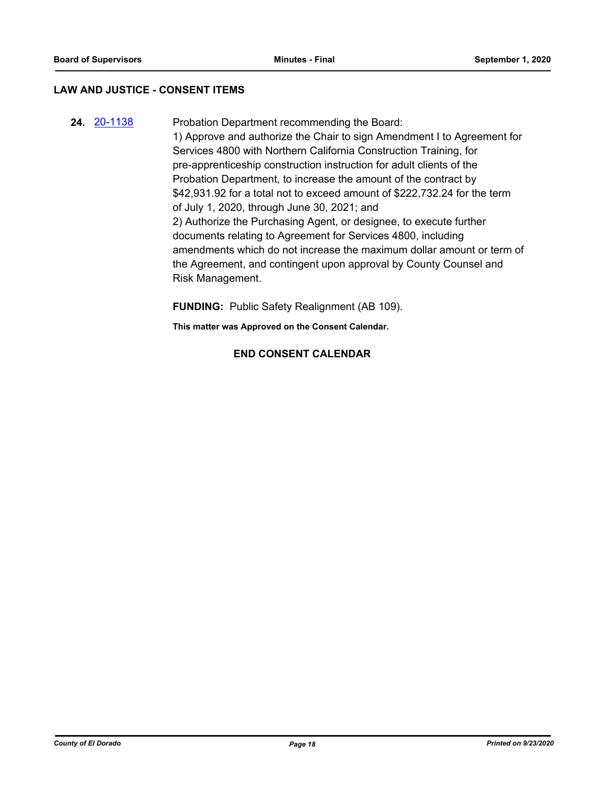#### **LAW AND JUSTICE - CONSENT ITEMS**

**24.** [20-1138](http://eldorado.legistar.com/gateway.aspx?m=l&id=/matter.aspx?key=28346) Probation Department recommending the Board: 1) Approve and authorize the Chair to sign Amendment I to Agreement for Services 4800 with Northern California Construction Training, for pre-apprenticeship construction instruction for adult clients of the Probation Department, to increase the amount of the contract by \$42,931.92 for a total not to exceed amount of \$222,732.24 for the term of July 1, 2020, through June 30, 2021; and 2) Authorize the Purchasing Agent, or designee, to execute further documents relating to Agreement for Services 4800, including amendments which do not increase the maximum dollar amount or term of the Agreement, and contingent upon approval by County Counsel and Risk Management.

**FUNDING:** Public Safety Realignment (AB 109).

**This matter was Approved on the Consent Calendar.**

#### **END CONSENT CALENDAR**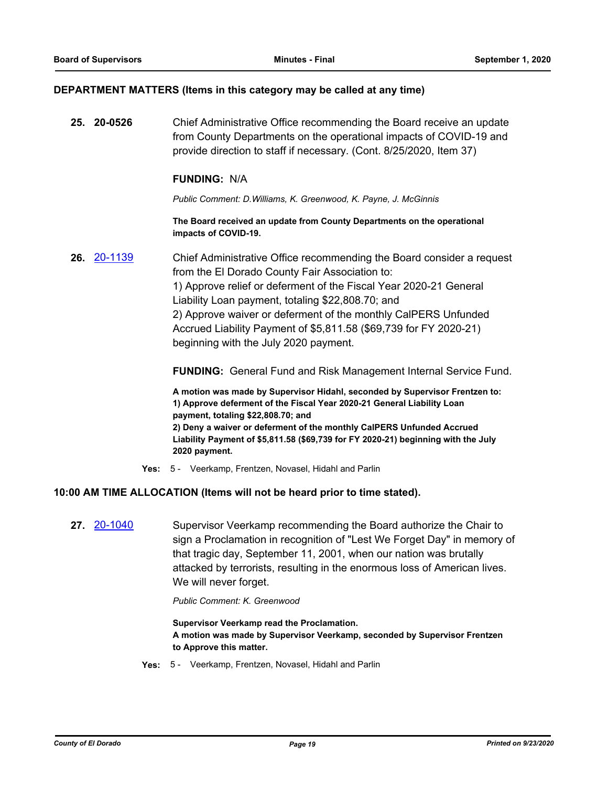#### **DEPARTMENT MATTERS (Items in this category may be called at any time)**

**25. 20-0526** Chief Administrative Office recommending the Board receive an update from County Departments on the operational impacts of COVID-19 and provide direction to staff if necessary. (Cont. 8/25/2020, Item 37)

#### **FUNDING:** N/A

*Public Comment: D.Williams, K. Greenwood, K. Payne, J. McGinnis*

**The Board received an update from County Departments on the operational impacts of COVID-19.**

**26.** [20-1139](http://eldorado.legistar.com/gateway.aspx?m=l&id=/matter.aspx?key=28347) Chief Administrative Office recommending the Board consider a request from the El Dorado County Fair Association to: 1) Approve relief or deferment of the Fiscal Year 2020-21 General Liability Loan payment, totaling \$22,808.70; and

2) Approve waiver or deferment of the monthly CalPERS Unfunded Accrued Liability Payment of \$5,811.58 (\$69,739 for FY 2020-21) beginning with the July 2020 payment.

**FUNDING:** General Fund and Risk Management Internal Service Fund.

**A motion was made by Supervisor Hidahl, seconded by Supervisor Frentzen to: 1) Approve deferment of the Fiscal Year 2020-21 General Liability Loan payment, totaling \$22,808.70; and 2) Deny a waiver or deferment of the monthly CalPERS Unfunded Accrued Liability Payment of \$5,811.58 (\$69,739 for FY 2020-21) beginning with the July 2020 payment.**

**Yes:** 5 - Veerkamp, Frentzen, Novasel, Hidahl and Parlin

#### **10:00 AM TIME ALLOCATION (Items will not be heard prior to time stated).**

**27.** [20-1040](http://eldorado.legistar.com/gateway.aspx?m=l&id=/matter.aspx?key=28248) Supervisor Veerkamp recommending the Board authorize the Chair to sign a Proclamation in recognition of "Lest We Forget Day" in memory of that tragic day, September 11, 2001, when our nation was brutally attacked by terrorists, resulting in the enormous loss of American lives. We will never forget.

*Public Comment: K. Greenwood*

**Supervisor Veerkamp read the Proclamation. A motion was made by Supervisor Veerkamp, seconded by Supervisor Frentzen to Approve this matter.**

**Yes:** 5 - Veerkamp, Frentzen, Novasel, Hidahl and Parlin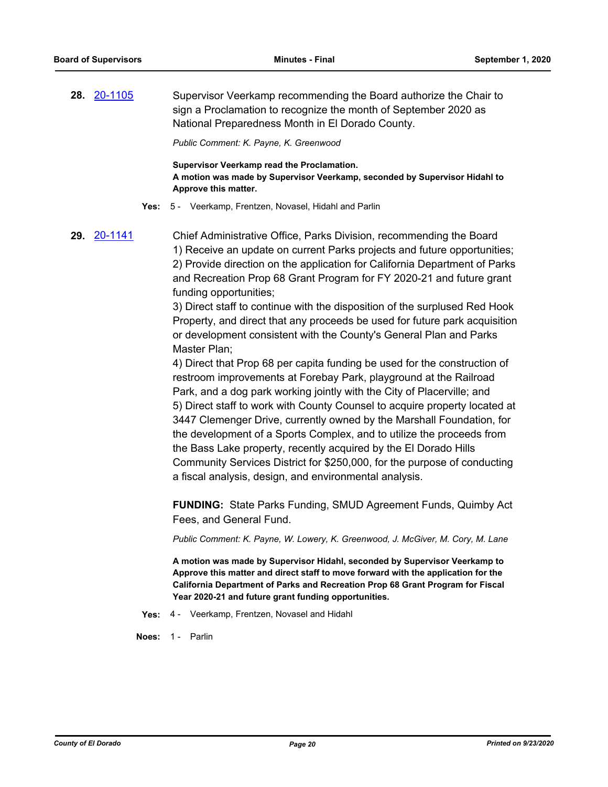**28.** [20-1105](http://eldorado.legistar.com/gateway.aspx?m=l&id=/matter.aspx?key=28313) Supervisor Veerkamp recommending the Board authorize the Chair to sign a Proclamation to recognize the month of September 2020 as National Preparedness Month in El Dorado County.

*Public Comment: K. Payne, K. Greenwood*

**Supervisor Veerkamp read the Proclamation. A motion was made by Supervisor Veerkamp, seconded by Supervisor Hidahl to Approve this matter.**

**Yes:** 5 - Veerkamp, Frentzen, Novasel, Hidahl and Parlin

**29.** [20-1141](http://eldorado.legistar.com/gateway.aspx?m=l&id=/matter.aspx?key=28349) Chief Administrative Office, Parks Division, recommending the Board 1) Receive an update on current Parks projects and future opportunities; 2) Provide direction on the application for California Department of Parks and Recreation Prop 68 Grant Program for FY 2020-21 and future grant funding opportunities;

> 3) Direct staff to continue with the disposition of the surplused Red Hook Property, and direct that any proceeds be used for future park acquisition or development consistent with the County's General Plan and Parks Master Plan;

> 4) Direct that Prop 68 per capita funding be used for the construction of restroom improvements at Forebay Park, playground at the Railroad Park, and a dog park working jointly with the City of Placerville; and 5) Direct staff to work with County Counsel to acquire property located at 3447 Clemenger Drive, currently owned by the Marshall Foundation, for the development of a Sports Complex, and to utilize the proceeds from the Bass Lake property, recently acquired by the El Dorado Hills Community Services District for \$250,000, for the purpose of conducting a fiscal analysis, design, and environmental analysis.

> **FUNDING:** State Parks Funding, SMUD Agreement Funds, Quimby Act Fees, and General Fund.

*Public Comment: K. Payne, W. Lowery, K. Greenwood, J. McGiver, M. Cory, M. Lane*

**A motion was made by Supervisor Hidahl, seconded by Supervisor Veerkamp to Approve this matter and direct staff to move forward with the application for the California Department of Parks and Recreation Prop 68 Grant Program for Fiscal Year 2020-21 and future grant funding opportunities.**

**Yes:** 4 - Veerkamp, Frentzen, Novasel and Hidahl

**Noes:** 1 - Parlin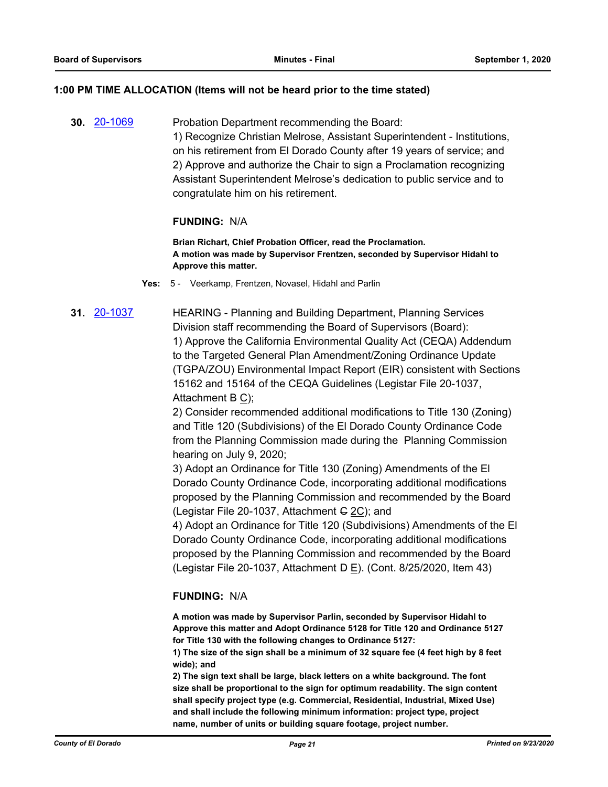#### **1:00 PM TIME ALLOCATION (Items will not be heard prior to the time stated)**

**30.** [20-1069](http://eldorado.legistar.com/gateway.aspx?m=l&id=/matter.aspx?key=28277) Probation Department recommending the Board: 1) Recognize Christian Melrose, Assistant Superintendent - Institutions, on his retirement from El Dorado County after 19 years of service; and 2) Approve and authorize the Chair to sign a Proclamation recognizing Assistant Superintendent Melrose's dedication to public service and to congratulate him on his retirement.

#### **FUNDING:** N/A

**Brian Richart, Chief Probation Officer, read the Proclamation. A motion was made by Supervisor Frentzen, seconded by Supervisor Hidahl to Approve this matter.**

**Yes:** 5 - Veerkamp, Frentzen, Novasel, Hidahl and Parlin

**31.** [20-1037](http://eldorado.legistar.com/gateway.aspx?m=l&id=/matter.aspx?key=28245) HEARING - Planning and Building Department, Planning Services Division staff recommending the Board of Supervisors (Board): 1) Approve the California Environmental Quality Act (CEQA) Addendum to the Targeted General Plan Amendment/Zoning Ordinance Update (TGPA/ZOU) Environmental Impact Report (EIR) consistent with Sections 15162 and 15164 of the CEQA Guidelines (Legistar File 20-1037, Attachment B C);

2) Consider recommended additional modifications to Title 130 (Zoning) and Title 120 (Subdivisions) of the El Dorado County Ordinance Code from the Planning Commission made during the Planning Commission hearing on July 9, 2020;

3) Adopt an Ordinance for Title 130 (Zoning) Amendments of the El Dorado County Ordinance Code, incorporating additional modifications proposed by the Planning Commission and recommended by the Board (Legistar File 20-1037, Attachment  $G$  2C); and

4) Adopt an Ordinance for Title 120 (Subdivisions) Amendments of the El Dorado County Ordinance Code, incorporating additional modifications proposed by the Planning Commission and recommended by the Board (Legistar File 20-1037, Attachment  $\overline{P}$  E). (Cont. 8/25/2020, Item 43)

#### **FUNDING:** N/A

**A motion was made by Supervisor Parlin, seconded by Supervisor Hidahl to Approve this matter and Adopt Ordinance 5128 for Title 120 and Ordinance 5127 for Title 130 with the following changes to Ordinance 5127:**

**1) The size of the sign shall be a minimum of 32 square fee (4 feet high by 8 feet wide); and**

**2) The sign text shall be large, black letters on a white background. The font size shall be proportional to the sign for optimum readability. The sign content shall specify project type (e.g. Commercial, Residential, Industrial, Mixed Use) and shall include the following minimum information: project type, project name, number of units or building square footage, project number.**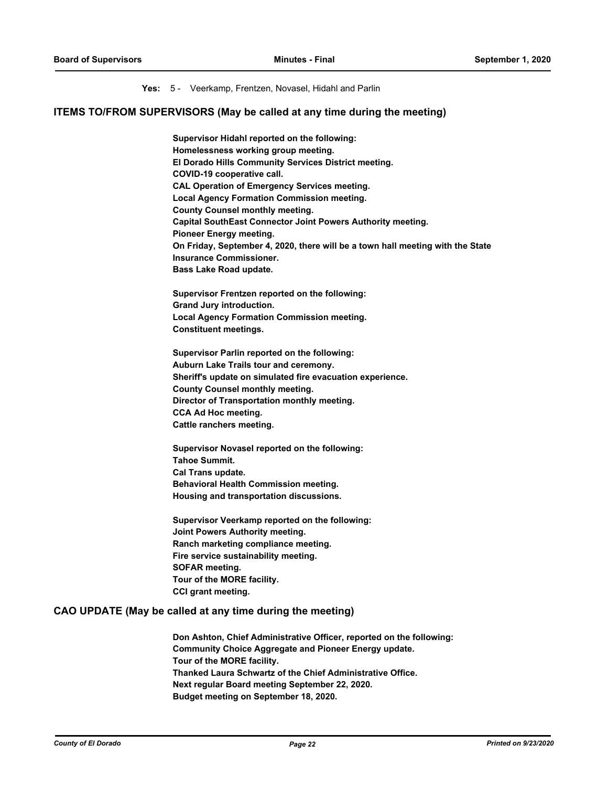#### **Yes:** 5 - Veerkamp, Frentzen, Novasel, Hidahl and Parlin

#### **ITEMS TO/FROM SUPERVISORS (May be called at any time during the meeting)**

**Supervisor Hidahl reported on the following: Homelessness working group meeting. El Dorado Hills Community Services District meeting. COVID-19 cooperative call. CAL Operation of Emergency Services meeting. Local Agency Formation Commission meeting. County Counsel monthly meeting. Capital SouthEast Connector Joint Powers Authority meeting. Pioneer Energy meeting. On Friday, September 4, 2020, there will be a town hall meeting with the State Insurance Commissioner. Bass Lake Road update.**

**Supervisor Frentzen reported on the following: Grand Jury introduction. Local Agency Formation Commission meeting. Constituent meetings.**

**Supervisor Parlin reported on the following: Auburn Lake Trails tour and ceremony. Sheriff's update on simulated fire evacuation experience. County Counsel monthly meeting. Director of Transportation monthly meeting. CCA Ad Hoc meeting. Cattle ranchers meeting.**

**Supervisor Novasel reported on the following: Tahoe Summit. Cal Trans update. Behavioral Health Commission meeting. Housing and transportation discussions.**

**Supervisor Veerkamp reported on the following: Joint Powers Authority meeting. Ranch marketing compliance meeting. Fire service sustainability meeting. SOFAR meeting. Tour of the MORE facility. CCI grant meeting.**

#### **CAO UPDATE (May be called at any time during the meeting)**

**Don Ashton, Chief Administrative Officer, reported on the following: Community Choice Aggregate and Pioneer Energy update. Tour of the MORE facility. Thanked Laura Schwartz of the Chief Administrative Office. Next regular Board meeting September 22, 2020. Budget meeting on September 18, 2020.**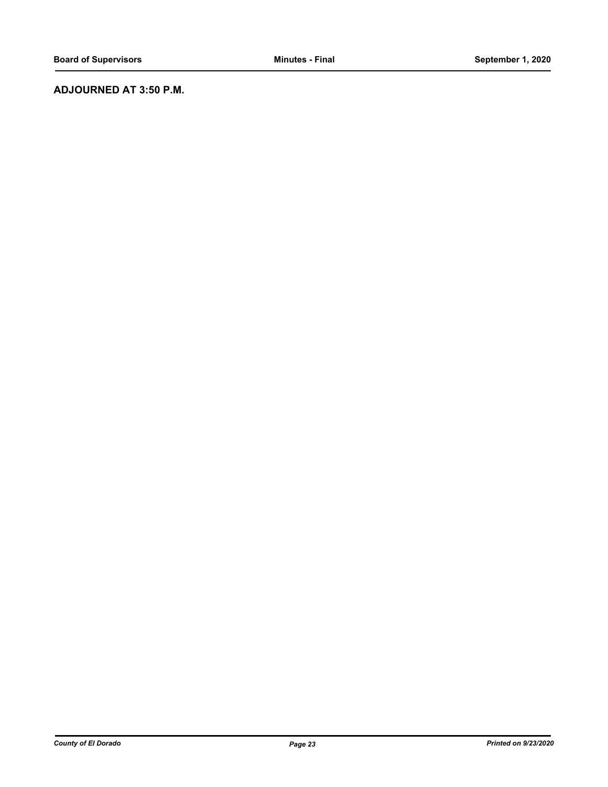## **ADJOURNED AT 3:50 P.M.**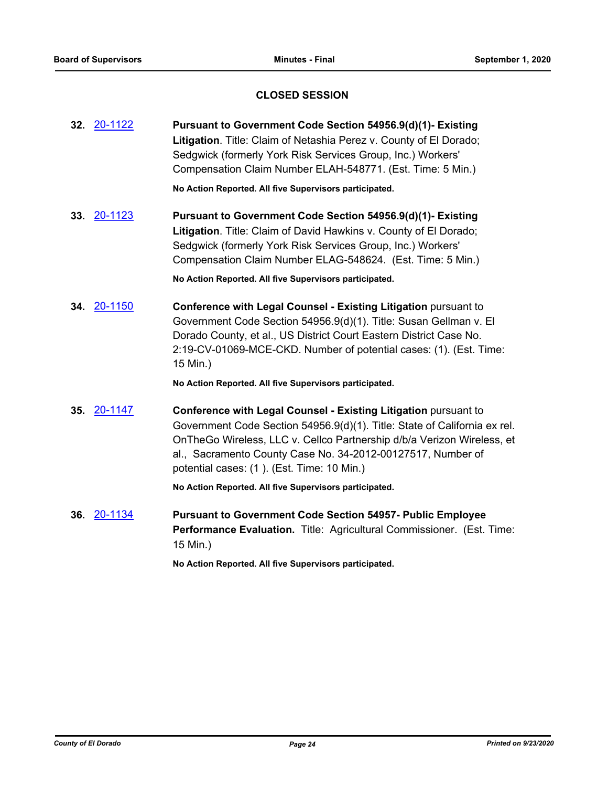## **CLOSED SESSION**

| 32. 20-1122 | Pursuant to Government Code Section 54956.9(d)(1)- Existing<br>Litigation. Title: Claim of Netashia Perez v. County of El Dorado;<br>Sedgwick (formerly York Risk Services Group, Inc.) Workers'<br>Compensation Claim Number ELAH-548771. (Est. Time: 5 Min.)                                                                      |
|-------------|-------------------------------------------------------------------------------------------------------------------------------------------------------------------------------------------------------------------------------------------------------------------------------------------------------------------------------------|
|             | No Action Reported. All five Supervisors participated.                                                                                                                                                                                                                                                                              |
| 33. 20-1123 | Pursuant to Government Code Section 54956.9(d)(1)- Existing<br>Litigation. Title: Claim of David Hawkins v. County of El Dorado;<br>Sedgwick (formerly York Risk Services Group, Inc.) Workers'<br>Compensation Claim Number ELAG-548624. (Est. Time: 5 Min.)                                                                       |
|             | No Action Reported. All five Supervisors participated.                                                                                                                                                                                                                                                                              |
| 34. 20-1150 | <b>Conference with Legal Counsel - Existing Litigation pursuant to</b><br>Government Code Section 54956.9(d)(1). Title: Susan Gellman v. El<br>Dorado County, et al., US District Court Eastern District Case No.<br>2:19-CV-01069-MCE-CKD. Number of potential cases: (1). (Est. Time:<br>15 Min.)                                 |
|             | No Action Reported. All five Supervisors participated.                                                                                                                                                                                                                                                                              |
| 35. 20-1147 | Conference with Legal Counsel - Existing Litigation pursuant to<br>Government Code Section 54956.9(d)(1). Title: State of California ex rel.<br>OnTheGo Wireless, LLC v. Cellco Partnership d/b/a Verizon Wireless, et<br>al., Sacramento County Case No. 34-2012-00127517, Number of<br>potential cases: (1). (Est. Time: 10 Min.) |
|             | No Action Reported. All five Supervisors participated.                                                                                                                                                                                                                                                                              |
| 36. 20-1134 | <b>Pursuant to Government Code Section 54957- Public Employee</b><br>Performance Evaluation. Title: Agricultural Commissioner. (Est. Time:<br>15 Min.)                                                                                                                                                                              |

**No Action Reported. All five Supervisors participated.**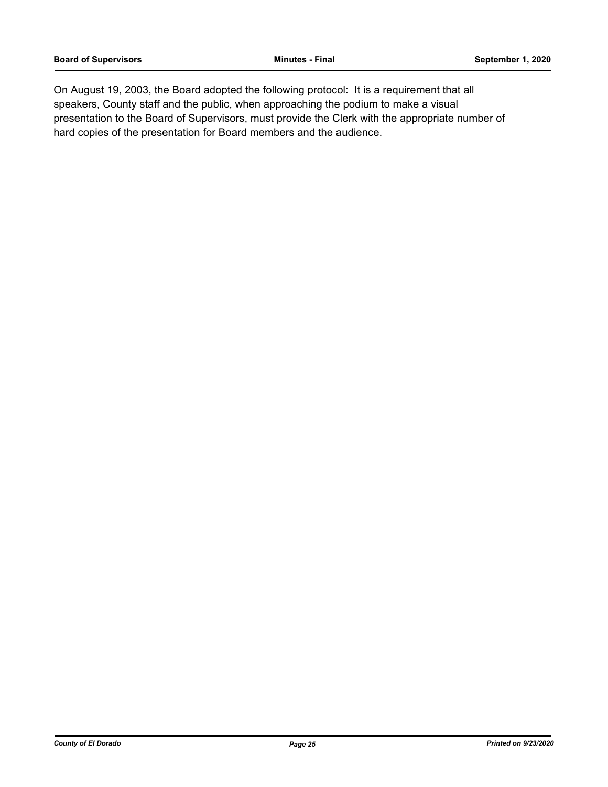On August 19, 2003, the Board adopted the following protocol: It is a requirement that all speakers, County staff and the public, when approaching the podium to make a visual presentation to the Board of Supervisors, must provide the Clerk with the appropriate number of hard copies of the presentation for Board members and the audience.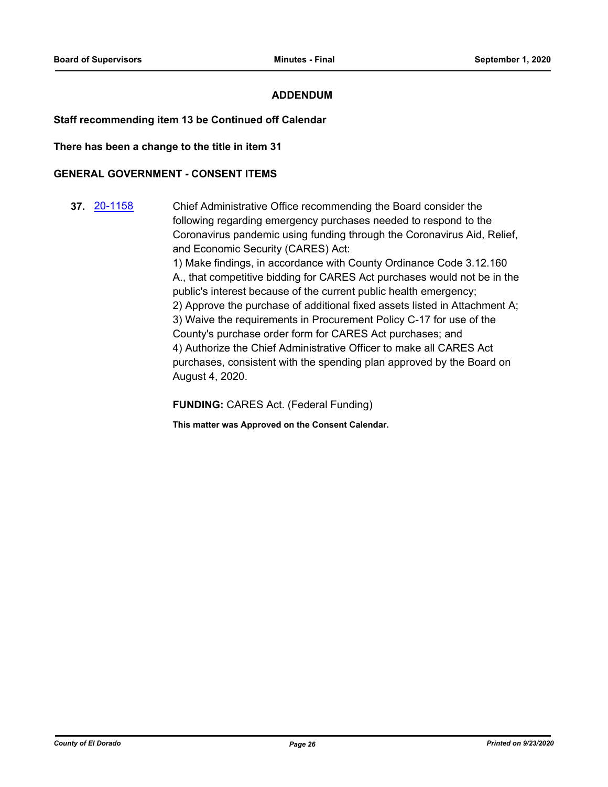### **ADDENDUM**

#### **Staff recommending item 13 be Continued off Calendar**

**There has been a change to the title in item 31**

#### **GENERAL GOVERNMENT - CONSENT ITEMS**

**37.** [20-1158](http://eldorado.legistar.com/gateway.aspx?m=l&id=/matter.aspx?key=28366) Chief Administrative Office recommending the Board consider the following regarding emergency purchases needed to respond to the Coronavirus pandemic using funding through the Coronavirus Aid, Relief, and Economic Security (CARES) Act: 1) Make findings, in accordance with County Ordinance Code 3.12.160 A., that competitive bidding for CARES Act purchases would not be in the public's interest because of the current public health emergency; 2) Approve the purchase of additional fixed assets listed in Attachment A; 3) Waive the requirements in Procurement Policy C-17 for use of the County's purchase order form for CARES Act purchases; and 4) Authorize the Chief Administrative Officer to make all CARES Act purchases, consistent with the spending plan approved by the Board on August 4, 2020.

**FUNDING:** CARES Act. (Federal Funding)